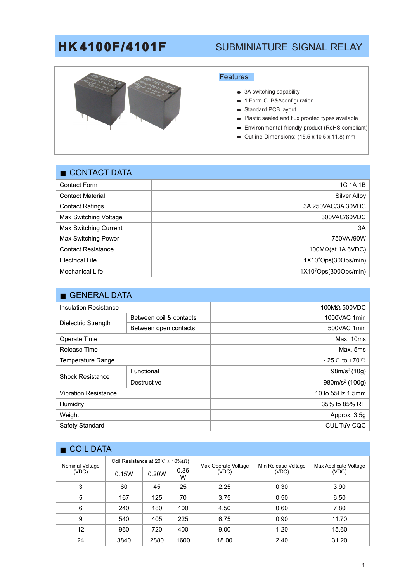# **HK4100F/4101F** SUBMINIATURE SIGNAL RELAY



### Features

- $\bullet$  3A switching capability
- 1 Form C ,B&Aconfiguration
- Standard PCB layout
- Plastic sealed and flux proofed types available
- Environmental friendly product (RoHS compliant)
- $\bullet$  Outline Dimensions: (15.5 x 10.5 x 11.8) mm

| $\blacksquare$ CONTACT DATA |                                   |  |  |  |
|-----------------------------|-----------------------------------|--|--|--|
| <b>Contact Form</b>         | 1C 1A 1B                          |  |  |  |
| <b>Contact Material</b>     | Silver Alloy                      |  |  |  |
| <b>Contact Ratings</b>      | 3A 250VAC/3A 30VDC                |  |  |  |
| Max Switching Voltage       | 300VAC/60VDC                      |  |  |  |
| Max Switching Current       | 3A                                |  |  |  |
| Max Switching Power         | 750VA /90W                        |  |  |  |
| <b>Contact Resistance</b>   | $100M\Omega(at 1A 6VDC)$          |  |  |  |
| <b>Electrical Life</b>      | 1X10 <sup>5</sup> Ops(30Ops/min)  |  |  |  |
| <b>Mechanical Life</b>      | 1X10 <sup>7</sup> Ops(300Ops/min) |  |  |  |
|                             |                                   |  |  |  |

|                              | GENERAL DATA            |                                     |  |  |  |  |
|------------------------------|-------------------------|-------------------------------------|--|--|--|--|
| <b>Insulation Resistance</b> |                         | $100$ ΜΩ 500VDC                     |  |  |  |  |
| Dielectric Strength          | Between coil & contacts | 1000VAC 1min                        |  |  |  |  |
|                              | Between open contacts   | 500VAC 1min                         |  |  |  |  |
| Operate Time                 |                         | Max. 10ms                           |  |  |  |  |
| Release Time                 |                         | Max. 5ms                            |  |  |  |  |
| Temperature Range            |                         | $-25^{\circ}$ C to +70 $^{\circ}$ C |  |  |  |  |
| <b>Shock Resistance</b>      | Functional              | 98m/s <sup>2</sup> (10g)            |  |  |  |  |
|                              | Destructive             | 980m/s <sup>2</sup> (100g)          |  |  |  |  |
| <b>Vibration Resistance</b>  |                         | 10 to 55Hz 1.5mm                    |  |  |  |  |
| Humidity                     |                         | 35% to 85% RH                       |  |  |  |  |
| Weight                       |                         | Approx. 3.5g                        |  |  |  |  |
| Safety Standard              |                         | CUL TüV CQC                         |  |  |  |  |

| COIL DATA                |                                                |       |           |                              |                              |                                |
|--------------------------|------------------------------------------------|-------|-----------|------------------------------|------------------------------|--------------------------------|
| Nominal Voltage<br>(VDC) | Coil Resistance at 20 °C $\pm$ 10%( $\Omega$ ) |       |           | Max Operate Voltage<br>(VDC) | Min Release Voltage<br>(VDC) | Max Applicate Voltage<br>(VDC) |
|                          | 0.15W                                          | 0.20W | 0.36<br>W |                              |                              |                                |
| 3                        | 60                                             | 45    | 25        | 2.25                         | 0.30                         | 3.90                           |
| 5                        | 167                                            | 125   | 70        | 3.75                         | 0.50                         | 6.50                           |
| 6                        | 240                                            | 180   | 100       | 4.50                         | 0.60                         | 7.80                           |
| 9                        | 540                                            | 405   | 225       | 6.75                         | 0.90                         | 11.70                          |
| 12                       | 960                                            | 720   | 400       | 9.00                         | 1.20                         | 15.60                          |
| 24                       | 3840                                           | 2880  | 1600      | 18.00                        | 2.40                         | 31.20                          |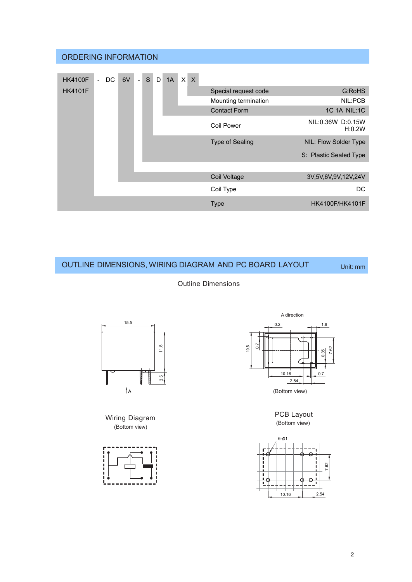|                | <b>ORDERING INFORMATION</b> |    |                   |   |    |                              |                        |                             |
|----------------|-----------------------------|----|-------------------|---|----|------------------------------|------------------------|-----------------------------|
| <b>HK4100F</b> | DC.<br>$\sim$               | 6V | S<br>$\mathbb{L}$ | D | 1A | $\mathsf{x}$<br>$\mathsf{X}$ |                        |                             |
| <b>HK4101F</b> |                             |    |                   |   |    | Special request code         | G:RoHS                 |                             |
|                |                             |    |                   |   |    | Mounting termination         | NIL:PCB                |                             |
|                |                             |    |                   |   |    |                              | <b>Contact Form</b>    | 1C 1A NIL:1C                |
|                |                             |    |                   |   |    |                              | <b>Coil Power</b>      | NIL:0.36W D:0.15W<br>H:0.2W |
|                |                             |    |                   |   |    |                              | <b>Type of Sealing</b> | NIL: Flow Solder Type       |
|                |                             |    |                   |   |    |                              |                        | S: Plastic Sealed Type      |
|                |                             |    |                   |   |    |                              |                        |                             |
|                |                             |    |                   |   |    |                              | Coil Voltage           | 3V,5V,6V,9V,12V,24V         |
|                |                             |    |                   |   |    |                              | Coil Type              | DC.                         |
|                |                             |    |                   |   |    |                              | <b>Type</b>            | <b>HK4100F/HK4101F</b>      |

## OUTLINE DIMENSIONS, WIRING DIAGRAM AND PC BOARD LAYOUT Unit: mm

Outline Dimensions



Wiring Diagram (Bottom view)





PCB Layout (Bottom view)